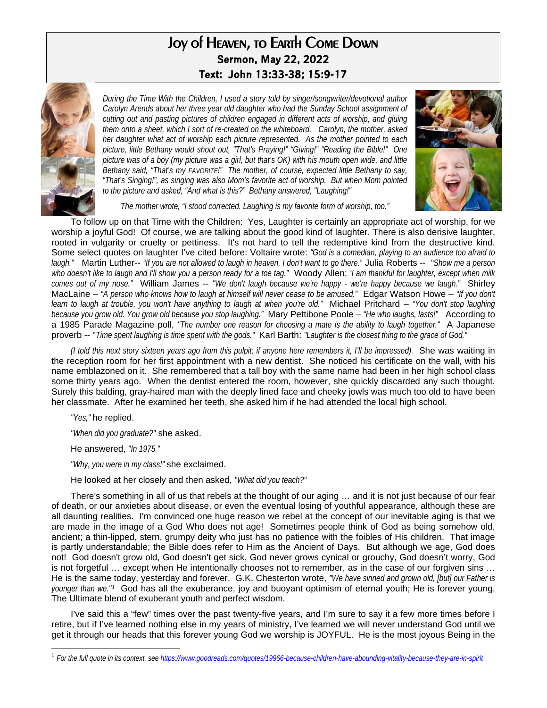## Joy of Heaven, to Earth Come Down **Sermon, May 22, 2022 Text: John 13:33-38; 15:9-17**



*During the Time With the Children, I used a story told by singer/songwriter/devotional author Carolyn Arends about her three year old daughter who had the Sunday School assignment of cutting out and pasting pictures of children engaged in different acts of worship, and gluing them onto a sheet, which I sort of re-created on the whiteboard. Carolyn, the mother, asked her daughter what act of worship each picture represented. As the mother pointed to each picture, little Bethany would shout out, "That's Praying!" "Giving!" "Reading the Bible!" One picture was of a boy (my picture was a girl, but that's OK) with his mouth open wide, and little Bethany said, "That's my FAVORITE!" The mother, of course, expected little Bethany to say, "That's Singing!", as singing was also Mom's favorite act of worship. But when Mom pointed to the picture and asked, "And what is this?" Bethany answered, "Laughing!"* 



*The mother wrote, "I stood corrected. Laughing is my favorite form of worship, too."* 

To follow up on that Time with the Children: Yes, Laughter is certainly an appropriate act of worship, for we worship a joyful God! Of course, we are talking about the good kind of laughter. There is also derisive laughter, rooted in vulgarity or cruelty or pettiness. It's not hard to tell the redemptive kind from the destructive kind. Some select quotes on laughter I've cited before: Voltaire wrote: *"God is a comedian, playing to an audience too afraid to laugh."* Martin Luther-- *"If you are not allowed to laugh in heaven, I don't want to go there."* Julia Roberts -- "*Show me a person who doesn't like to laugh and I'll show you a person ready for a toe tag."* Woody Allen: *'I am thankful for laughter, except when milk comes out of my nose."* William James -- *"We don't laugh because we're happy - we're happy because we laugh."* Shirley MacLaine – *"A person who knows how to laugh at himself will never cease to be amused."* Edgar Watson Howe – *"If you don't learn to laugh at trouble, you won't have anything to laugh at when you're old."* Michael Pritchard – *"You don't stop laughing because you grow old. You grow old because you stop laughing."* Mary Pettibone Poole – *"He who laughs, lasts!"* According to a 1985 Parade Magazine poll, *"The number one reason for choosing a mate is the ability to laugh together."* A Japanese proverb -- "*Time spent laughing is time spent with the gods."* Karl Barth: *"Laughter is the closest thing to the grace of God."*

*(I told this next story sixteen years ago from this pulpit; if anyone here remembers it, I'll be impressed).* She was waiting in the reception room for her first appointment with a new dentist. She noticed his certificate on the wall, with his name emblazoned on it. She remembered that a tall boy with the same name had been in her high school class some thirty years ago. When the dentist entered the room, however, she quickly discarded any such thought. Surely this balding, gray-haired man with the deeply lined face and cheeky jowls was much too old to have been her classmate. After he examined her teeth, she asked him if he had attended the local high school.

*"Yes,"* he replied.

l

*"When did you graduate?"* she asked.

He answered, *"In 1975."* 

*"Why, you were in my class!"* she exclaimed.

He looked at her closely and then asked, *"What did you teach?"*

There's something in all of us that rebels at the thought of our aging … and it is not just because of our fear of death, or our anxieties about disease, or even the eventual losing of youthful appearance, although these are all daunting realities. I'm convinced one huge reason we rebel at the concept of our inevitable aging is that we are made in the image of a God Who does not age! Sometimes people think of God as being somehow old, ancient; a thin-lipped, stern, grumpy deity who just has no patience with the foibles of His children. That image is partly understandable; the Bible does refer to Him as the Ancient of Days. But although we age, God does not! God doesn't grow old, God doesn't get sick, God never grows cynical or grouchy, God doesn't worry, God is not forgetful … except when He intentionally chooses not to remember, as in the case of our forgiven sins … He is the same today, yesterday and forever. G.K. Chesterton wrote, *"We have sinned and grown old, [but] our Father is younger than we."[1](#page-0-0)* God has all the exuberance, joy and buoyant optimism of eternal youth; He is forever young. The Ultimate blend of exuberant youth and perfect wisdom.

I've said this a "few" times over the past twenty-five years, and I'm sure to say it a few more times before I retire, but if I've learned nothing else in my years of ministry, I've learned we will never understand God until we get it through our heads that this forever young God we worship is JOYFUL. He is the most joyous Being in the

<span id="page-0-0"></span><sup>1</sup> *For the full quote in its context, see <https://www.goodreads.com/quotes/19966-because-children-have-abounding-vitality-because-they-are-in-spirit>*